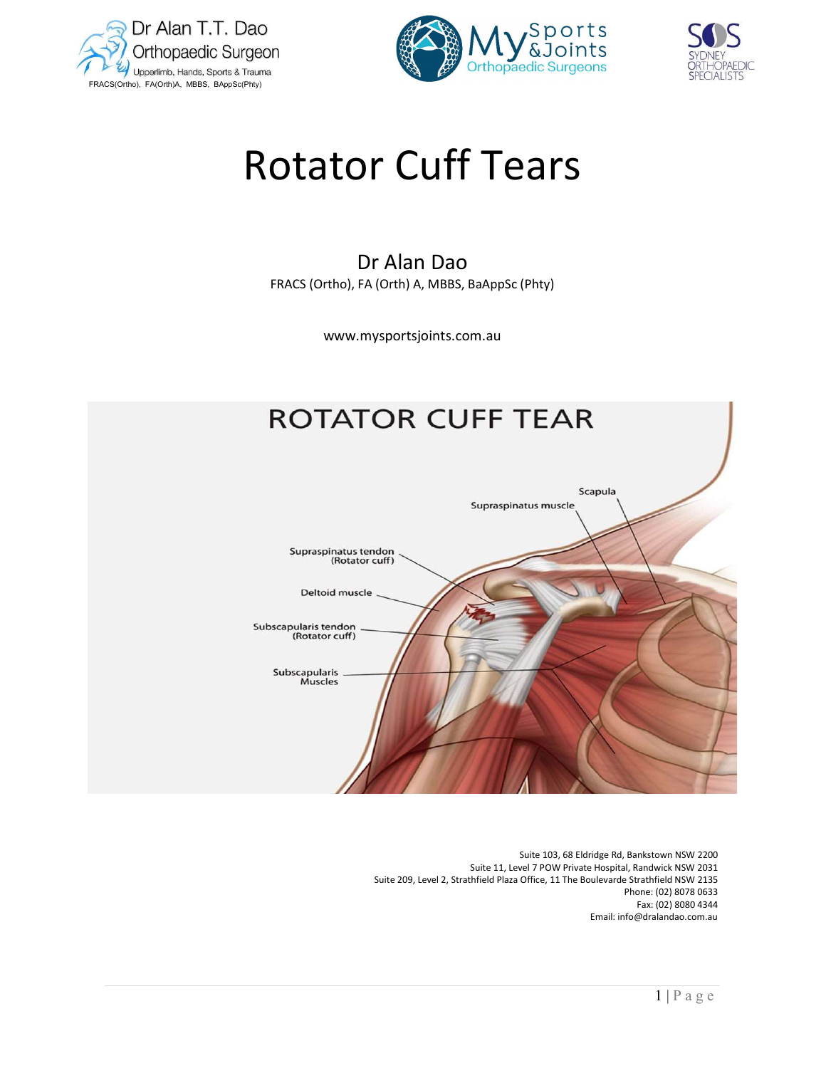





# Rotator Cuff Tears

## Dr Alan Dao FRACS (Ortho), FA (Orth) A, MBBS, BaAppSc (Phty)

www.mysportsjoints.com.au

# **ROTATOR CUFF TEAR**



 Suite 103, 68 Eldridge Rd, Bankstown NSW 2200 Suite 11, Level 7 POW Private Hospital, Randwick NSW 2031 Suite 209, Level 2, Strathfield Plaza Office, 11 The Boulevarde Strathfield NSW 2135 Phone: (02) 8078 0633 Fax: (02) 8080 4344 Email: info@dralandao.com.au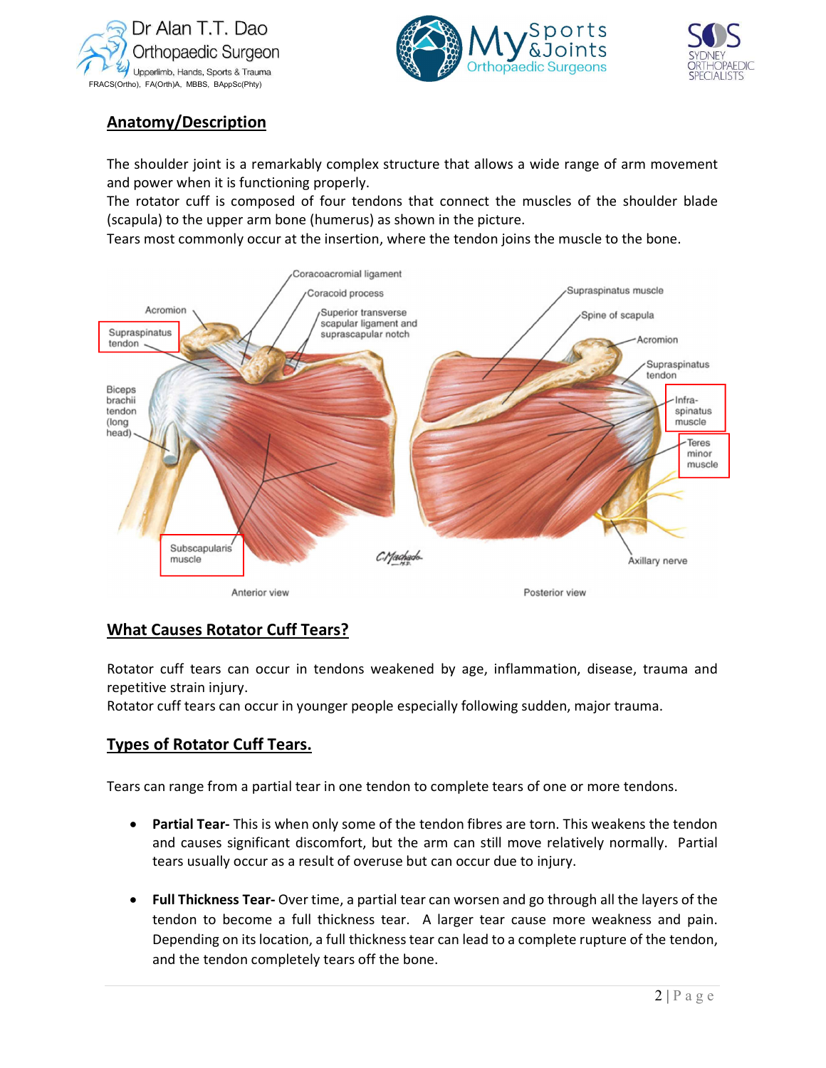





## Anatomy/Description

The shoulder joint is a remarkably complex structure that allows a wide range of arm movement and power when it is functioning properly.

The rotator cuff is composed of four tendons that connect the muscles of the shoulder blade (scapula) to the upper arm bone (humerus) as shown in the picture.

Tears most commonly occur at the insertion, where the tendon joins the muscle to the bone.



## What Causes Rotator Cuff Tears?

Rotator cuff tears can occur in tendons weakened by age, inflammation, disease, trauma and repetitive strain injury.

Rotator cuff tears can occur in younger people especially following sudden, major trauma.

#### Types of Rotator Cuff Tears.

Tears can range from a partial tear in one tendon to complete tears of one or more tendons.

- Partial Tear- This is when only some of the tendon fibres are torn. This weakens the tendon and causes significant discomfort, but the arm can still move relatively normally. Partial tears usually occur as a result of overuse but can occur due to injury.
- auma and<br>
a.<br>
he tendon<br>
ly. Partial<br>
yers of the<br>
and pain.<br>
ne tendon,<br>
2 | P a g e • Full Thickness Tear- Over time, a partial tear can worsen and go through all the layers of the tendon to become a full thickness tear. A larger tear cause more weakness and pain. Depending on its location, a full thickness tear can lead to a complete rupture of the tendon, and the tendon completely tears off the bone.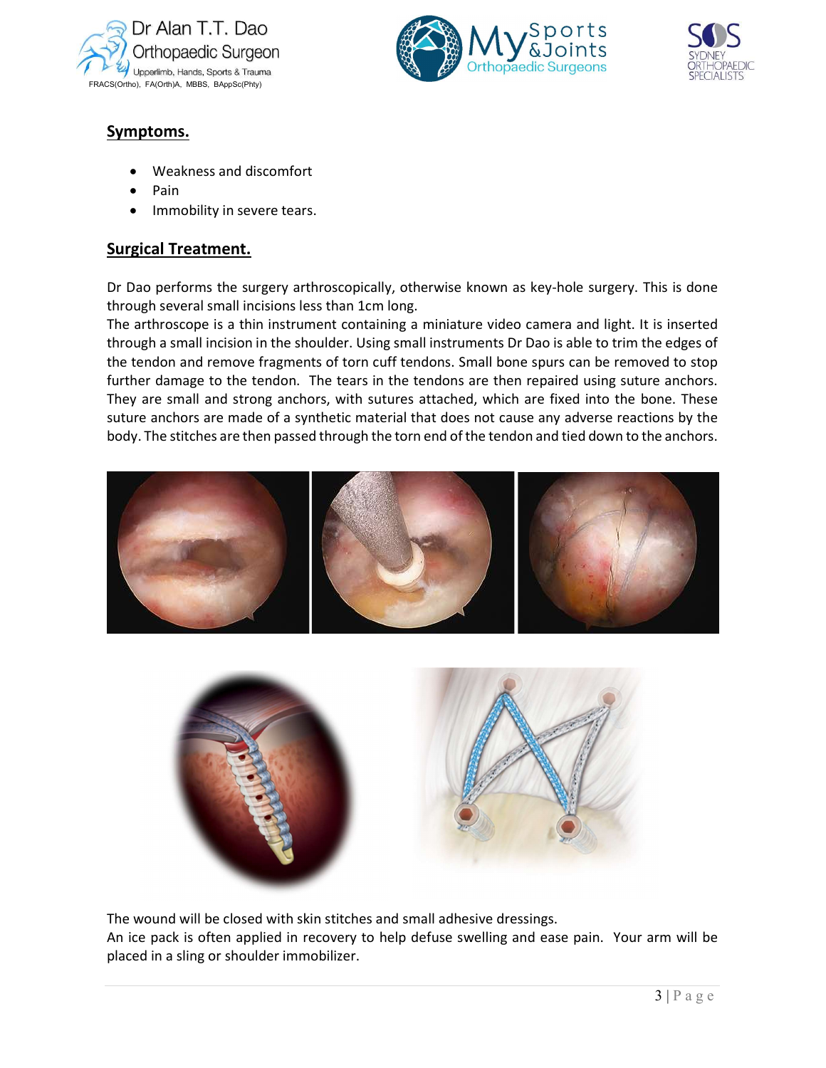





## Symptoms.

- Weakness and discomfort
- Pain
- Immobility in severe tears.

### Surgical Treatment.

Dr Dao performs the surgery arthroscopically, otherwise known as key-hole surgery. This is done through several small incisions less than 1cm long.

The arthroscope is a thin instrument containing a miniature video camera and light. It is inserted through a small incision in the shoulder. Using small instruments Dr Dao is able to trim the edges of the tendon and remove fragments of torn cuff tendons. Small bone spurs can be removed to stop further damage to the tendon. The tears in the tendons are then repaired using suture anchors. They are small and strong anchors, with sutures attached, which are fixed into the bone. These suture anchors are made of a synthetic material that does not cause any adverse reactions by the body. The stitches are then passed through the torn end of the tendon and tied down to the anchors.





The wound will be closed with skin stitches and small adhesive dressings.

An ice pack is often applied in recovery to help defuse swelling and ease pain. Your arm will be placed in a sling or shoulder immobilizer.